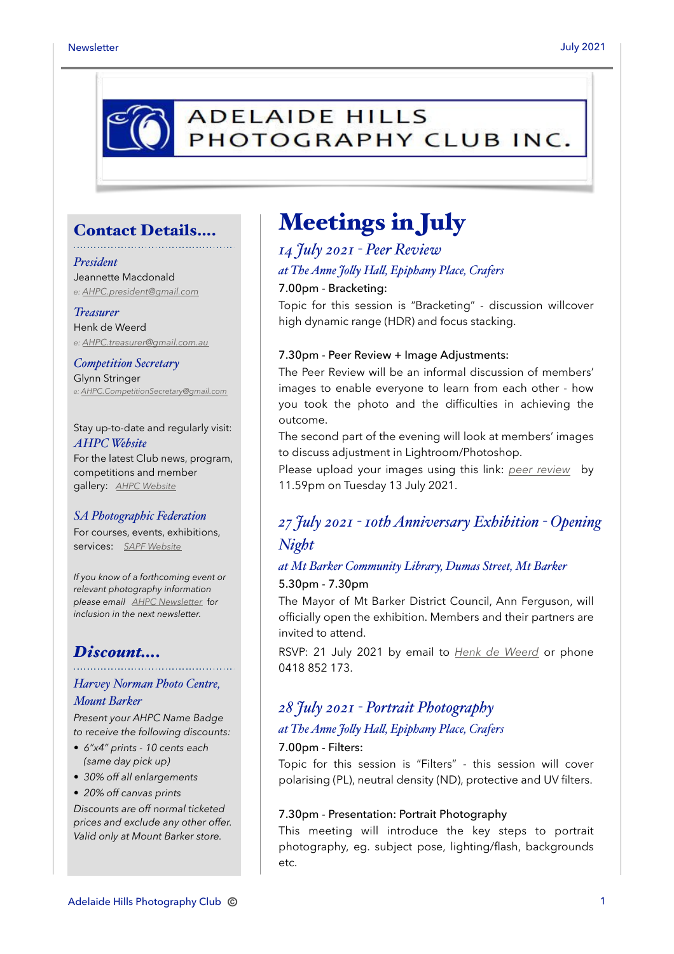

### Contact Details….

#### *President*

Jeannette Macdonald *e: [AHPC.president@gmail.com](mailto:AHPC.president@gmail.com)*

#### *Treasurer*

Henk de Weerd *e: [AHPC.treasurer@gmail.com.au](mailto:AHPC.treasurer@gmail.com.au)*

*Competition Secretary* Glynn Stringer *e: [AHPC.CompetitionSecretary@gmail.com](mailto:AHPC.CompetitionSecretary@gmail.com)*

Stay up-to-date and regularly visit: *AHPC Website* For the latest Club news, program, competitions and member gallery: *[AHPC Website](http://www.adelaidehillsphotographyclub.com.au)*

#### *SA Photographic Federation*

For courses, events, exhibitions, services: *[SAPF Website](https://www.sapf.org.au)*

*If you know of a forthcoming event or relevant photography information please email [AHPC Newsletter](mailto:paulaphotoclick@gmail.com)* f*or inclusion in the next newsletter.* 

### *Discount….*

### *Harvey Norman Photo Centre, Mount Barker*

*Present your AHPC Name Badge to receive the following discounts:* 

- *6"x4" prints 10 cents each (same day pick up)*
- *30% off all enlargements*
- *20% off canvas prints*

*Discounts are off normal ticketed prices and exclude any other offer. Valid only at Mount Barker store.*

# Meetings in July

## *14 July 2021 - Peer Review at The Anne Jo"y Ha", Epiphany Place, Crafers* 7.00pm - Bracketing:

Topic for this session is "Bracketing" - discussion willcover high dynamic range (HDR) and focus stacking.

#### 7.30pm - Peer Review + Image Adjustments:

The Peer Review will be an informal discussion of members' images to enable everyone to learn from each other - how you took the photo and the difficulties in achieving the outcome.

The second part of the evening will look at members' images to discuss adjustment in Lightroom/Photoshop.

Please upload your images using this link: *[peer review](https://www.adelaidehillsphotographyclub.com.au/workshops?start=2)* by 11.59pm on Tuesday 13 July 2021.

# *27 July 2021 - 10th Anniversary Exhibition - Opening Night*

### *at Mt Barker Community Library, Dumas Street, Mt Barker* 5.30pm - 7.30pm

The Mayor of Mt Barker District Council, Ann Ferguson, will officially open the exhibition. Members and their partners are invited to attend.

RSVP: 21 July 2021 by email to *[Henk de Weerd](mailto:ahpc.treasurer@gmail.com)* or phone 0418 852 173.

## *28 July 2021 - Portrait Photography*

#### *at The Anne Jo"y Ha", Epiphany Place, Crafers*

#### 7.00pm - Filters:

Topic for this session is "Filters" - this session will cover polarising (PL), neutral density (ND), protective and UV filters.

#### 7.30pm - Presentation: Portrait Photography

This meeting will introduce the key steps to portrait photography, eg. subject pose, lighting/flash, backgrounds etc.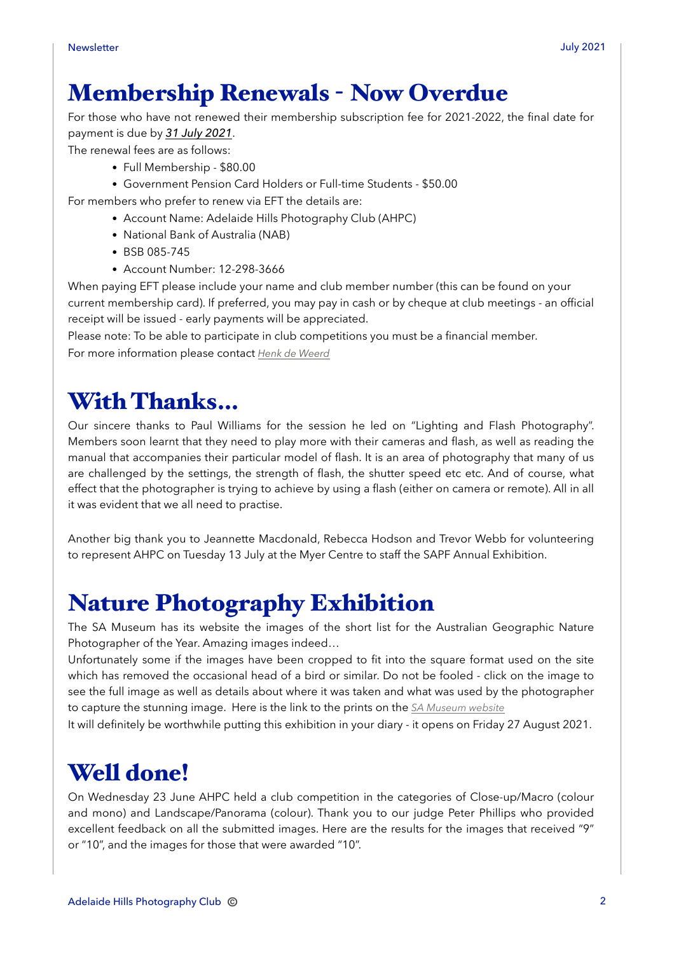# Membership Renewals - Now Overdue

For those who have not renewed their membership subscription fee for 2021-2022, the final date for payment is due by *31 July 2021*.

The renewal fees are as follows:

- Full Membership \$80.00
- Government Pension Card Holders or Full-time Students \$50.00

For members who prefer to renew via EFT the details are:

- Account Name: Adelaide Hills Photography Club (AHPC)
- National Bank of Australia (NAB)
- BSB 085-745
- Account Number: 12-298-3666

When paying EFT please include your name and club member number (this can be found on your current membership card). If preferred, you may pay in cash or by cheque at club meetings - an official receipt will be issued - early payments will be appreciated.

Please note: To be able to participate in club competitions you must be a financial member. For more information please contact *[Henk de Weerd](mailto:AHPC.treasurer@gmail.com.au?subject=Membership%20Renewal)*

# With Thanks…

Our sincere thanks to Paul Williams for the session he led on "Lighting and Flash Photography". Members soon learnt that they need to play more with their cameras and flash, as well as reading the manual that accompanies their particular model of flash. It is an area of photography that many of us are challenged by the settings, the strength of flash, the shutter speed etc etc. And of course, what effect that the photographer is trying to achieve by using a flash (either on camera or remote). All in all it was evident that we all need to practise.

Another big thank you to Jeannette Macdonald, Rebecca Hodson and Trevor Webb for volunteering to represent AHPC on Tuesday 13 July at the Myer Centre to staff the SAPF Annual Exhibition.

# Nature Photography Exhibition

The SA Museum has its website the images of the short list for the Australian Geographic Nature Photographer of the Year. Amazing images indeed…

Unfortunately some if the images have been cropped to fit into the square format used on the site which has removed the occasional head of a bird or similar. Do not be fooled - click on the image to see the full image as well as details about where it was taken and what was used by the photographer to capture the stunning image. Here is the link to the prints on the *[SA Museum website](https://www.samuseum.sa.gov.au/c/npoty/gallery?mc_cid=2c569a2612&mc_eid=675f04802b)*

It will definitely be worthwhile putting this exhibition in your diary - it opens on Friday 27 August 2021.

# Well done!

On Wednesday 23 June AHPC held a club competition in the categories of Close-up/Macro (colour and mono) and Landscape/Panorama (colour). Thank you to our judge Peter Phillips who provided excellent feedback on all the submitted images. Here are the results for the images that received "9" or "10", and the images for those that were awarded "10".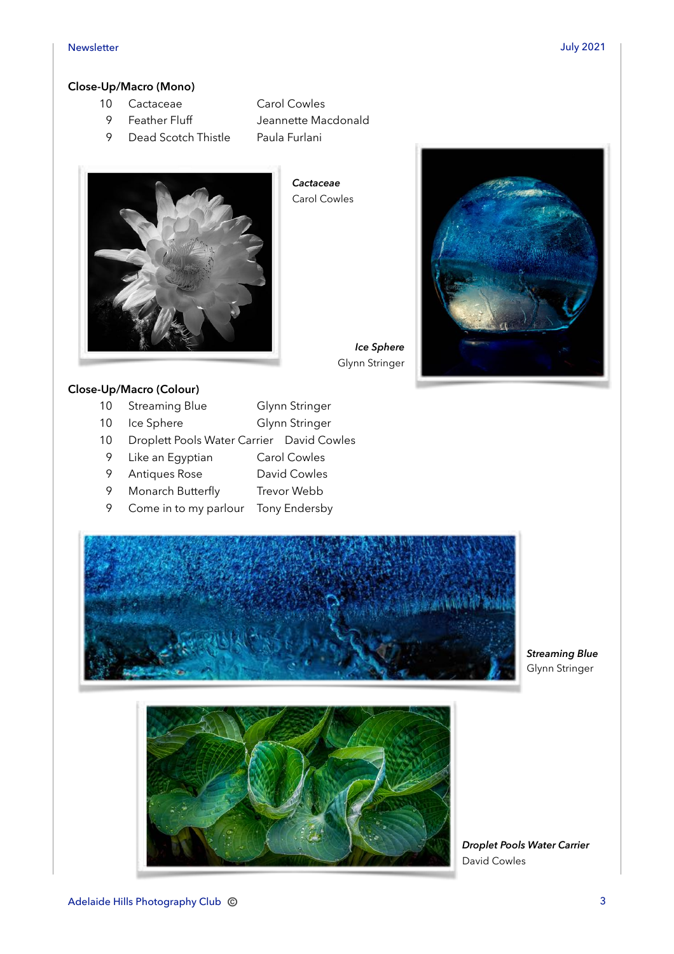#### **Close-Up/Macro (Mono)**

- 10 Cactaceae Carol Cowles
	-
	- 9 Dead Scotch Thistle Paula Furlani
	- 9 Feather Fluff Jeannette Macdonald
- 

*Cactaceae*  Carol Cowles





### **Close-Up/Macro (Colour)**

- 10 Streaming Blue Glynn Stringer
- 10 Ice Sphere Glynn Stringer
- 10 Droplett Pools Water Carrier David Cowles
- 9 Like an Egyptian Carol Cowles
- 9 Antiques Rose David Cowles
- 9 Monarch Butterfly Trevor Webb
- 9 Come in to my parlour Tony Endersby



#### *Streaming Blue*  Glynn Stringer



*Droplet Pools Water Carrier*  David Cowles